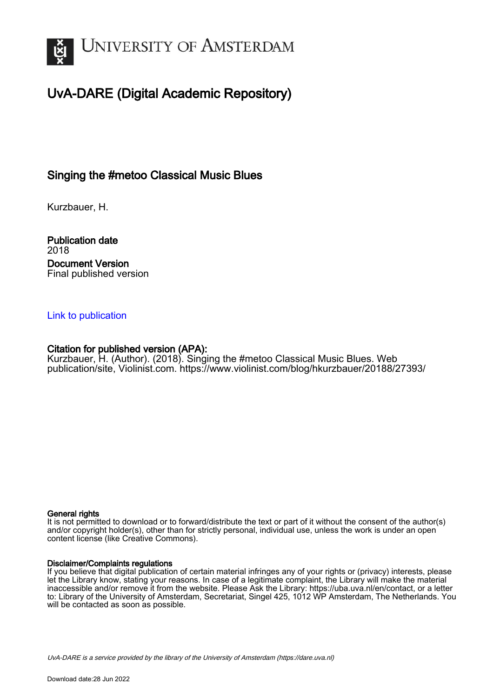

# UvA-DARE (Digital Academic Repository)

# Singing the #metoo Classical Music Blues

Kurzbauer, H.

Publication date 2018 Document Version Final published version

## [Link to publication](https://dare.uva.nl/personal/pure/en/publications/singing-the-metoo-classical-music-blues(d56652c1-b4a3-4bb7-9ea8-7fa88e6c9a6b).html)

### Citation for published version (APA):

Kurzbauer, H. (Author). (2018). Singing the #metoo Classical Music Blues. Web publication/site, Violinist.com. <https://www.violinist.com/blog/hkurzbauer/20188/27393/>

#### General rights

It is not permitted to download or to forward/distribute the text or part of it without the consent of the author(s) and/or copyright holder(s), other than for strictly personal, individual use, unless the work is under an open content license (like Creative Commons).

#### Disclaimer/Complaints regulations

If you believe that digital publication of certain material infringes any of your rights or (privacy) interests, please let the Library know, stating your reasons. In case of a legitimate complaint, the Library will make the material inaccessible and/or remove it from the website. Please Ask the Library: https://uba.uva.nl/en/contact, or a letter to: Library of the University of Amsterdam, Secretariat, Singel 425, 1012 WP Amsterdam, The Netherlands. You will be contacted as soon as possible.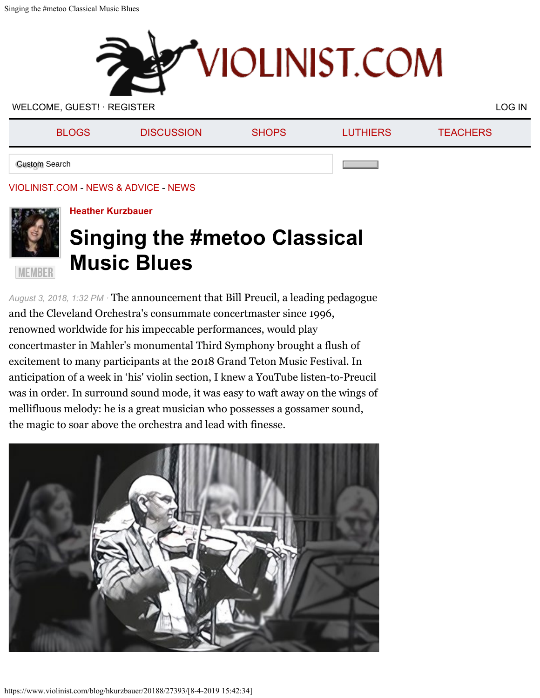

WELCOME, GUEST! · [REGISTER](https://www.violinist.com/directory/registration.cfm) [LOG IN](https://www.violinist.com/directory/login.cfm) A LOG IN A LOG IN A LOG IN A LOG IN A LOG IN

| <b>BLOGS</b>         | <b>DISCUSSION</b> | <b>SHOPS</b> | <b>LUTHIERS</b> | <b>TEACHERS</b> |
|----------------------|-------------------|--------------|-----------------|-----------------|
| <b>Custom Search</b> |                   |              |                 |                 |

## [VIOLINIST.COM](https://www.violinist.com/) - [NEWS & ADVICE](https://www.violinist.com/blog/) - [NEWS](https://www.violinist.com/news/)



**MEMBER** 

# **[Heather Kurzbauer](https://www.violinist.com/directory/bio.cfm?member=hkurzbauer)**

# **Singing the #metoo Classical Music Blues**

*August 3, 2018, 1:32 PM ·* The announcement that Bill Preucil, a leading pedagogue and the Cleveland Orchestra's consummate concertmaster since 1996, renowned worldwide for his impeccable performances, would play concertmaster in Mahler's monumental Third Symphony brought a flush of excitement to many participants at the 2018 Grand Teton Music Festival. In anticipation of a week in 'his' violin section, I knew a YouTube listen-to-Preucil was in order. In surround sound mode, it was easy to waft away on the wings of mellifluous melody: he is a great musician who possesses a gossamer sound, the magic to soar above the orchestra and lead with finesse.

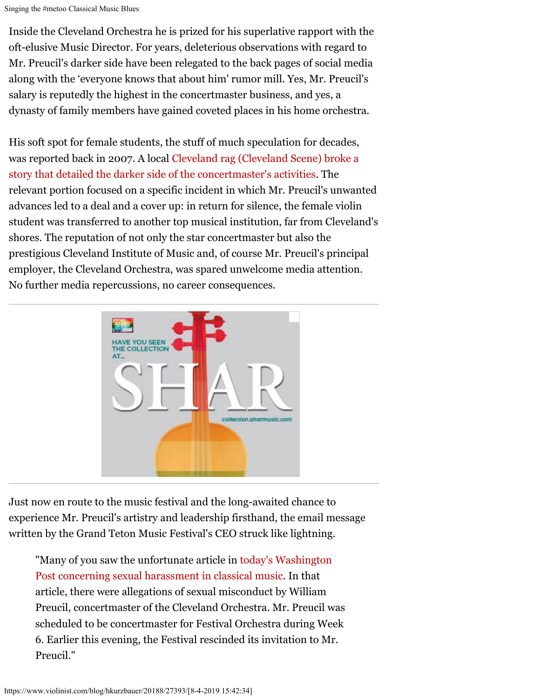Singing the #metoo Classical Music Blues

Inside the Cleveland Orchestra he is prized for his superlative rapport with the oft-elusive Music Director. For years, deleterious observations with regard to Mr. Preucil's darker side have been relegated to the back pages of social media along with the 'everyone knows that about him' rumor mill. Yes, Mr. Preucil's salary is reputedly the highest in the concertmaster business, and yes, a dynasty of family members have gained coveted places in his home orchestra.

His soft spot for female students, the stuff of much speculation for decades, was reported back in 2007. A local [Cleveland rag \(Cleveland Scene\) broke a](https://www.clevescene.com/cleveland/sour-notes/Content?oid=1497679) [story that detailed the darker side of the concertmaster's activities](https://www.clevescene.com/cleveland/sour-notes/Content?oid=1497679). The relevant portion focused on a specific incident in which Mr. Preucil's unwanted advances led to a deal and a cover up: in return for silence, the female violin student was transferred to another top musical institution, far from Cleveland's shores. The reputation of not only the star concertmaster but also the prestigious Cleveland Institute of Music and, of course Mr. Preucil's principal employer, the Cleveland Orchestra, was spared unwelcome media attention. No further media repercussions, no career consequences.



Just now en route to the music festival and the long-awaited chance to experience Mr. Preucil's artistry and leadership firsthand, the email message written by the Grand Teton Music Festival's CEO struck like lightning.

"Many of you saw the unfortunate article in today's [Washington](https://www.washingtonpost.com/entertainment/music/assaults-in-dressing-rooms-groping-during-lessons-classical-musicians-reveal-a-profession-rife-with-harassment/2018/07/25/f47617d0-36c8-11e8-acd5-35eac230e514_story.html?utm_term=.f3ccd0dcfb9a) Post [concerning sexual harassment in classical music.](https://www.washingtonpost.com/entertainment/music/assaults-in-dressing-rooms-groping-during-lessons-classical-musicians-reveal-a-profession-rife-with-harassment/2018/07/25/f47617d0-36c8-11e8-acd5-35eac230e514_story.html?utm_term=.f3ccd0dcfb9a) In that article, there were allegations of sexual misconduct by William Preucil, concertmaster of the Cleveland Orchestra. Mr. Preucil was scheduled to be concertmaster for Festival Orchestra during Week 6. Earlier this evening, the Festival rescinded its invitation to Mr. Preucil."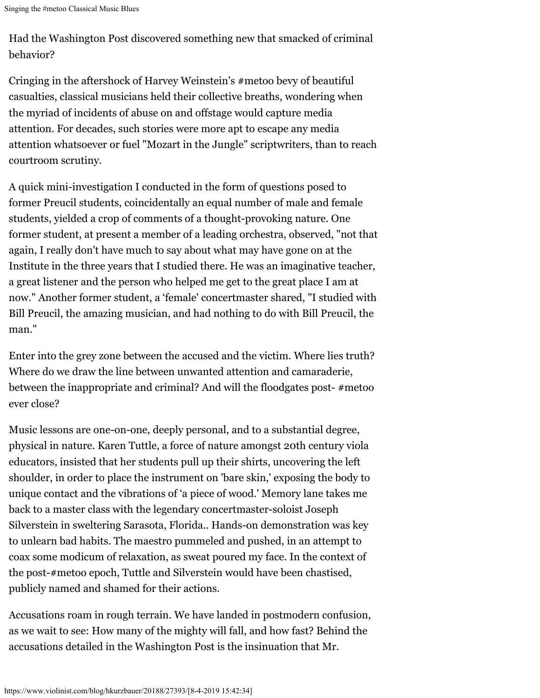Singing the #metoo Classical Music Blues

Had the Washington Post discovered something new that smacked of criminal behavior?

Cringing in the aftershock of Harvey Weinstein's #metoo bevy of beautiful casualties, classical musicians held their collective breaths, wondering when the myriad of incidents of abuse on and offstage would capture media attention. For decades, such stories were more apt to escape any media attention whatsoever or fuel "Mozart in the Jungle" scriptwriters, than to reach courtroom scrutiny.

A quick mini-investigation I conducted in the form of questions posed to former Preucil students, coincidentally an equal number of male and female students, yielded a crop of comments of a thought-provoking nature. One former student, at present a member of a leading orchestra, observed, "not that again, I really don't have much to say about what may have gone on at the Institute in the three years that I studied there. He was an imaginative teacher, a great listener and the person who helped me get to the great place I am at now." Another former student, a 'female' concertmaster shared, "I studied with Bill Preucil, the amazing musician, and had nothing to do with Bill Preucil, the man."

Enter into the grey zone between the accused and the victim. Where lies truth? Where do we draw the line between unwanted attention and camaraderie, between the inappropriate and criminal? And will the floodgates post- #metoo ever close?

Music lessons are one-on-one, deeply personal, and to a substantial degree, physical in nature. Karen Tuttle, a force of nature amongst 20th century viola educators, insisted that her students pull up their shirts, uncovering the left shoulder, in order to place the instrument on 'bare skin,' exposing the body to unique contact and the vibrations of 'a piece of wood.' Memory lane takes me back to a master class with the legendary concertmaster-soloist Joseph Silverstein in sweltering Sarasota, Florida.. Hands-on demonstration was key to unlearn bad habits. The maestro pummeled and pushed, in an attempt to coax some modicum of relaxation, as sweat poured my face. In the context of the post-#metoo epoch, Tuttle and Silverstein would have been chastised, publicly named and shamed for their actions.

Accusations roam in rough terrain. We have landed in postmodern confusion, as we wait to see: How many of the mighty will fall, and how fast? Behind the accusations detailed in the Washington Post is the insinuation that Mr.